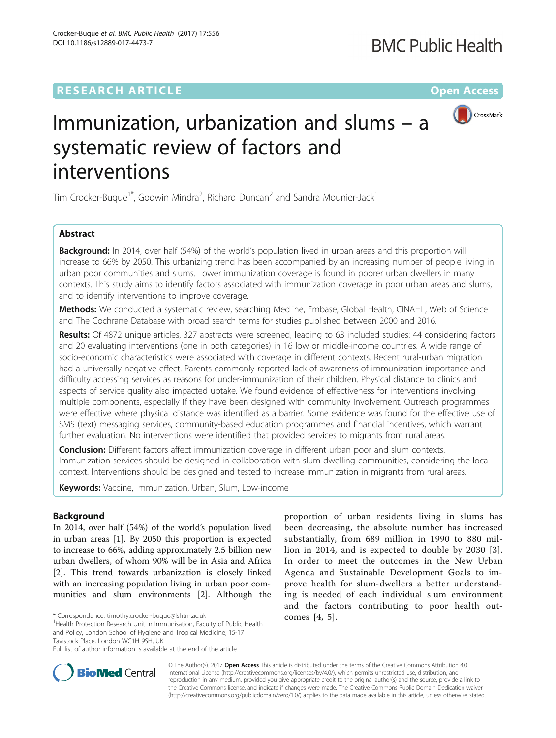# **RESEARCH ARTICLE Example 2014 12:30 The Contract of Contract ACCESS**

DOI 10.1186/s12889-017-4473-7

Crocker-Buque et al. BMC Public Health (2017) 17:556

CrossMark

# Immunization, urbanization and slums – a systematic review of factors and interventions

Tim Crocker-Buque<sup>1\*</sup>, Godwin Mindra<sup>2</sup>, Richard Duncan<sup>2</sup> and Sandra Mounier-Jack<sup>1</sup>

# Abstract

**Background:** In 2014, over half (54%) of the world's population lived in urban areas and this proportion will increase to 66% by 2050. This urbanizing trend has been accompanied by an increasing number of people living in urban poor communities and slums. Lower immunization coverage is found in poorer urban dwellers in many contexts. This study aims to identify factors associated with immunization coverage in poor urban areas and slums, and to identify interventions to improve coverage.

Methods: We conducted a systematic review, searching Medline, Embase, Global Health, CINAHL, Web of Science and The Cochrane Database with broad search terms for studies published between 2000 and 2016.

Results: Of 4872 unique articles, 327 abstracts were screened, leading to 63 included studies: 44 considering factors and 20 evaluating interventions (one in both categories) in 16 low or middle-income countries. A wide range of socio-economic characteristics were associated with coverage in different contexts. Recent rural-urban migration had a universally negative effect. Parents commonly reported lack of awareness of immunization importance and difficulty accessing services as reasons for under-immunization of their children. Physical distance to clinics and aspects of service quality also impacted uptake. We found evidence of effectiveness for interventions involving multiple components, especially if they have been designed with community involvement. Outreach programmes were effective where physical distance was identified as a barrier. Some evidence was found for the effective use of SMS (text) messaging services, community-based education programmes and financial incentives, which warrant further evaluation. No interventions were identified that provided services to migrants from rural areas.

**Conclusion:** Different factors affect immunization coverage in different urban poor and slum contexts. Immunization services should be designed in collaboration with slum-dwelling communities, considering the local context. Interventions should be designed and tested to increase immunization in migrants from rural areas.

Keywords: Vaccine, Immunization, Urban, Slum, Low-income

# Background

In 2014, over half (54%) of the world's population lived in urban areas [[1\]](#page-12-0). By 2050 this proportion is expected to increase to 66%, adding approximately 2.5 billion new urban dwellers, of whom 90% will be in Asia and Africa [[2\]](#page-12-0). This trend towards urbanization is closely linked with an increasing population living in urban poor communities and slum environments [[2\]](#page-12-0). Although the

<sup>1</sup>Health Protection Research Unit in Immunisation, Faculty of Public Health and Policy, London School of Hygiene and Tropical Medicine, 15-17 Tavistock Place, London WC1H 9SH, UK

proportion of urban residents living in slums has been decreasing, the absolute number has increased substantially, from 689 million in 1990 to 880 million in 2014, and is expected to double by 2030 [[3\]](#page-13-0). In order to meet the outcomes in the New Urban Agenda and Sustainable Development Goals to improve health for slum-dwellers a better understanding is needed of each individual slum environment and the factors contributing to poor health out-



© The Author(s). 2017 **Open Access** This article is distributed under the terms of the Creative Commons Attribution 4.0 International License [\(http://creativecommons.org/licenses/by/4.0/](http://creativecommons.org/licenses/by/4.0/)), which permits unrestricted use, distribution, and reproduction in any medium, provided you give appropriate credit to the original author(s) and the source, provide a link to the Creative Commons license, and indicate if changes were made. The Creative Commons Public Domain Dedication waiver [\(http://creativecommons.org/publicdomain/zero/1.0/](http://creativecommons.org/publicdomain/zero/1.0/)) applies to the data made available in this article, unless otherwise stated.

<sup>\*</sup> Correspondence: timothy.crocker-buque@lshtm.ac.uk 1999 comes [[4](#page-13-0), [5\]](#page-13-0).

Full list of author information is available at the end of the article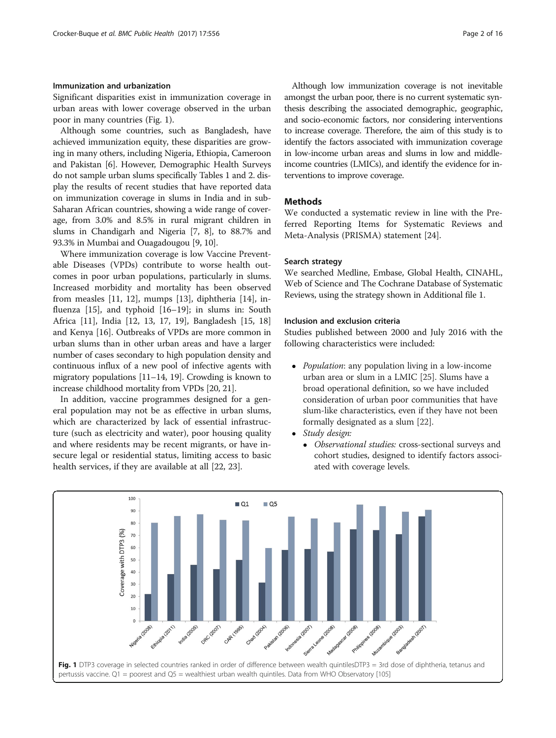# Immunization and urbanization

Significant disparities exist in immunization coverage in urban areas with lower coverage observed in the urban poor in many countries (Fig. 1).

Although some countries, such as Bangladesh, have achieved immunization equity, these disparities are growing in many others, including Nigeria, Ethiopia, Cameroon and Pakistan [[6\]](#page-13-0). However, Demographic Health Surveys do not sample urban slums specifically Tables [1](#page-2-0) and [2](#page-2-0). display the results of recent studies that have reported data on immunization coverage in slums in India and in sub-Saharan African countries, showing a wide range of coverage, from 3.0% and 8.5% in rural migrant children in slums in Chandigarh and Nigeria [\[7, 8\]](#page-13-0), to 88.7% and 93.3% in Mumbai and Ouagadougou [\[9](#page-13-0), [10](#page-13-0)].

Where immunization coverage is low Vaccine Preventable Diseases (VPDs) contribute to worse health outcomes in poor urban populations, particularly in slums. Increased morbidity and mortality has been observed from measles [\[11, 12\]](#page-13-0), mumps [[13\]](#page-13-0), diphtheria [[14\]](#page-13-0), influenza [\[15](#page-13-0)], and typhoid [[16](#page-13-0)–[19](#page-13-0)]; in slums in: South Africa [\[11](#page-13-0)], India [[12, 13](#page-13-0), [17, 19](#page-13-0)], Bangladesh [\[15, 18](#page-13-0)] and Kenya [\[16](#page-13-0)]. Outbreaks of VPDs are more common in urban slums than in other urban areas and have a larger number of cases secondary to high population density and continuous influx of a new pool of infective agents with migratory populations [\[11](#page-13-0)–[14](#page-13-0), [19\]](#page-13-0). Crowding is known to increase childhood mortality from VPDs [\[20, 21](#page-13-0)].

In addition, vaccine programmes designed for a general population may not be as effective in urban slums, which are characterized by lack of essential infrastructure (such as electricity and water), poor housing quality and where residents may be recent migrants, or have insecure legal or residential status, limiting access to basic health services, if they are available at all [[22, 23](#page-13-0)].

Although low immunization coverage is not inevitable amongst the urban poor, there is no current systematic synthesis describing the associated demographic, geographic, and socio-economic factors, nor considering interventions to increase coverage. Therefore, the aim of this study is to identify the factors associated with immunization coverage in low-income urban areas and slums in low and middleincome countries (LMICs), and identify the evidence for interventions to improve coverage.

# Methods

We conducted a systematic review in line with the Preferred Reporting Items for Systematic Reviews and Meta-Analysis (PRISMA) statement [[24\]](#page-13-0).

### Search strategy

We searched Medline, Embase, Global Health, CINAHL, Web of Science and The Cochrane Database of Systematic Reviews, using the strategy shown in Additional file [1](#page-12-0).

# Inclusion and exclusion criteria

Studies published between 2000 and July 2016 with the following characteristics were included:

- *Population*: any population living in a low-income urban area or slum in a LMIC [\[25\]](#page-13-0). Slums have a broad operational definition, so we have included consideration of urban poor communities that have slum-like characteristics, even if they have not been formally designated as a slum [[22](#page-13-0)].
- Study design:
	- Observational studies: cross-sectional surveys and cohort studies, designed to identify factors associated with coverage levels.

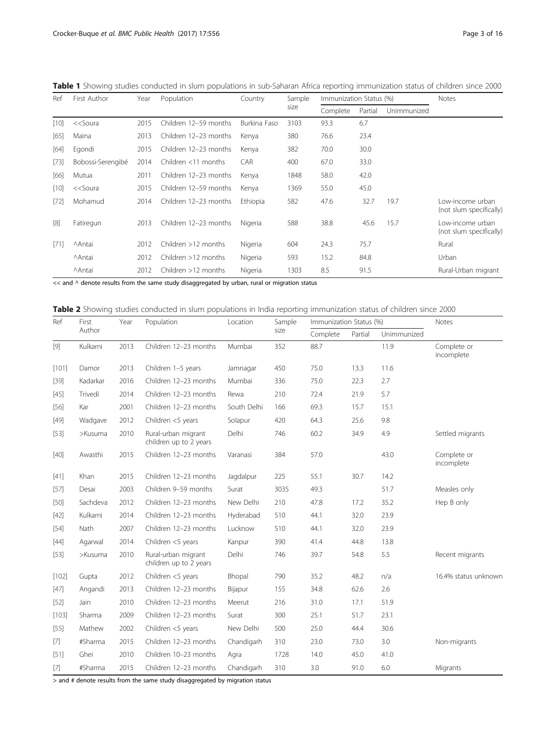<span id="page-2-0"></span>

|  | Table 1 Showing studies conducted in slum populations in sub-Saharan Africa reporting immunization status of children since 2000 |  |
|--|----------------------------------------------------------------------------------------------------------------------------------|--|
|--|----------------------------------------------------------------------------------------------------------------------------------|--|

| Ref    | First Author                                                                                                                                      | Year | Population             | Country      | Sample | Immunization Status (%) |         |             | Notes                                       |
|--------|---------------------------------------------------------------------------------------------------------------------------------------------------|------|------------------------|--------------|--------|-------------------------|---------|-------------|---------------------------------------------|
|        |                                                                                                                                                   |      |                        |              | size   | Complete                | Partial | Unimmunized |                                             |
| $[10]$ | < <soura< td=""><td>2015</td><td>Children 12-59 months</td><td>Burkina Faso</td><td>3103</td><td>93.3</td><td>6.7</td><td></td><td></td></soura<> | 2015 | Children 12-59 months  | Burkina Faso | 3103   | 93.3                    | 6.7     |             |                                             |
| [65]   | Maina                                                                                                                                             | 2013 | Children 12-23 months  | Kenya        | 380    | 76.6                    | 23.4    |             |                                             |
| $[64]$ | Egondi                                                                                                                                            | 2015 | Children 12-23 months  | Kenya        | 382    | 70.0                    | 30.0    |             |                                             |
| $[73]$ | Bobossi-Serengibé                                                                                                                                 | 2014 | Children $<$ 11 months | CAR          | 400    | 67.0                    | 33.0    |             |                                             |
| [66]   | Mutua                                                                                                                                             | 2011 | Children 12-23 months  | Kenya        | 1848   | 58.0                    | 42.0    |             |                                             |
| $[10]$ | < <soura< td=""><td>2015</td><td>Children 12-59 months</td><td>Kenya</td><td>1369</td><td>55.0</td><td>45.0</td><td></td><td></td></soura<>       | 2015 | Children 12-59 months  | Kenya        | 1369   | 55.0                    | 45.0    |             |                                             |
| $[72]$ | Mohamud                                                                                                                                           | 2014 | Children 12-23 months  | Ethiopia     | 582    | 47.6                    | 32.7    | 19.7        | Low-income urban<br>(not slum specifically) |
| [8]    | Fatiregun                                                                                                                                         | 2013 | Children 12-23 months  | Nigeria      | 588    | 38.8                    | 45.6    | 15.7        | Low-income urban<br>(not slum specifically) |
| $[71]$ | <b>Antai</b>                                                                                                                                      | 2012 | Children $>12$ months  | Nigeria      | 604    | 24.3                    | 75.7    |             | Rural                                       |
|        | <b>Antai</b>                                                                                                                                      | 2012 | Children $>12$ months  | Nigeria      | 593    | 15.2                    | 84.8    |             | Urban                                       |
|        | <b>Antai</b>                                                                                                                                      | 2012 | Children $>12$ months  | Nigeria      | 1303   | 8.5                     | 91.5    |             | Rural-Urban migrant                         |

 $<<$  and  $\wedge$  denote results from the same study disaggregated by urban, rural or migration status

| Table 2 Showing studies conducted in slum populations in India reporting immunization status of children since 2000 |  |  |  |  |
|---------------------------------------------------------------------------------------------------------------------|--|--|--|--|
|                                                                                                                     |  |  |  |  |

| Ref     | First    | Year | Population                                    | Location    | Sample | Immunization Status (%) |         |             | Notes                     |
|---------|----------|------|-----------------------------------------------|-------------|--------|-------------------------|---------|-------------|---------------------------|
|         | Author   |      |                                               |             | size   | Complete                | Partial | Unimmunized |                           |
| $[9]$   | Kulkarni | 2013 | Children 12-23 months                         | Mumbai      | 352    | 88.7                    |         | 11.9        | Complete or<br>incomplete |
| [101]   | Damor    | 2013 | Children 1-5 years                            | Jamnagar    | 450    | 75.0                    | 13.3    | 11.6        |                           |
| $[39]$  | Kadarkar | 2016 | Children 12-23 months                         | Mumbai      | 336    | 75.0                    | 22.3    | 2.7         |                           |
| $[45]$  | Trivedi  | 2014 | Children 12-23 months                         | Rewa        | 210    | 72.4                    | 21.9    | 5.7         |                           |
| $[56]$  | Kar      | 2001 | Children 12-23 months                         | South Delhi | 166    | 69.3                    | 15.7    | 15.1        |                           |
| $[49]$  | Wadgave  | 2012 | Children <5 years                             | Solapur     | 420    | 64.3                    | 25.6    | 9.8         |                           |
| $[53]$  | >Kusuma  | 2010 | Rural-urban migrant<br>children up to 2 years | Delhi       | 746    | 60.2                    | 34.9    | 4.9         | Settled migrants          |
| $[40]$  | Awasthi  | 2015 | Children 12-23 months                         | Varanasi    | 384    | 57.0                    |         | 43.0        | Complete or<br>incomplete |
| $[41]$  | Khan     | 2015 | Children 12-23 months                         | Jagdalpur   | 225    | 55.1                    | 30.7    | 14.2        |                           |
| [57]    | Desai    | 2003 | Children 9-59 months                          | Surat       | 3035   | 49.3                    |         | 51.7        | Measles only              |
| $[50]$  | Sachdeva | 2012 | Children 12-23 months                         | New Delhi   | 210    | 47.8                    | 17.2    | 35.2        | Hep B only                |
| $[42]$  | Kulkarni | 2014 | Children 12-23 months                         | Hyderabad   | 510    | 44.1                    | 32.0    | 23.9        |                           |
| $[54]$  | Nath     | 2007 | Children 12-23 months                         | Lucknow     | 510    | 44.1                    | 32.0    | 23.9        |                           |
| $[44]$  | Agarwal  | 2014 | Children <5 years                             | Kanpur      | 390    | 41.4                    | 44.8    | 13.8        |                           |
| $[53]$  | >Kusuma  | 2010 | Rural-urban migrant<br>children up to 2 years | Delhi       | 746    | 39.7                    | 54.8    | 5.5         | Recent migrants           |
| $[102]$ | Gupta    | 2012 | Children <5 years                             | Bhopal      | 790    | 35.2                    | 48.2    | n/a         | 16.4% status unknown      |
| $[47]$  | Angandi  | 2013 | Children 12-23 months                         | Bijapur     | 155    | 34.8                    | 62.6    | 2.6         |                           |
| $[52]$  | Jain     | 2010 | Children 12-23 months                         | Meerut      | 216    | 31.0                    | 17.1    | 51.9        |                           |
| [103]   | Sharma   | 2009 | Children 12-23 months                         | Surat       | 300    | 25.1                    | 51.7    | 23.1        |                           |
| $[55]$  | Mathew   | 2002 | Children <5 years                             | New Delhi   | 500    | 25.0                    | 44.4    | 30.6        |                           |
| $[7]$   | #Sharma  | 2015 | Children 12-23 months                         | Chandigarh  | 310    | 23.0                    | 73.0    | 3.0         | Non-migrants              |
| $[51]$  | Ghei     | 2010 | Children 10-23 months                         | Agra        | 1728   | 14.0                    | 45.0    | 41.0        |                           |
| $[7]$   | #Sharma  | 2015 | Children 12-23 months                         | Chandigarh  | 310    | 3.0                     | 91.0    | 6.0         | Migrants                  |

 $>$  and  $\#$  denote results from the same study disaggregated by migration status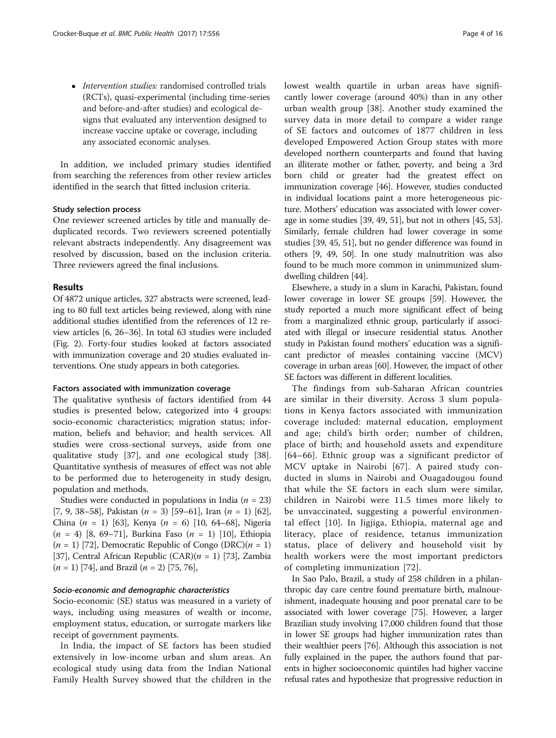• Intervention studies: randomised controlled trials (RCTs), quasi-experimental (including time-series and before-and-after studies) and ecological designs that evaluated any intervention designed to increase vaccine uptake or coverage, including any associated economic analyses.

In addition, we included primary studies identified from searching the references from other review articles identified in the search that fitted inclusion criteria.

#### Study selection process

One reviewer screened articles by title and manually deduplicated records. Two reviewers screened potentially relevant abstracts independently. Any disagreement was resolved by discussion, based on the inclusion criteria. Three reviewers agreed the final inclusions.

#### Results

Of 4872 unique articles, 327 abstracts were screened, leading to 80 full text articles being reviewed, along with nine additional studies identified from the references of 12 review articles [[6, 26](#page-13-0)–[36](#page-13-0)]. In total 63 studies were included (Fig. [2](#page-4-0)). Forty-four studies looked at factors associated with immunization coverage and 20 studies evaluated interventions. One study appears in both categories.

#### Factors associated with immunization coverage

The qualitative synthesis of factors identified from 44 studies is presented below, categorized into 4 groups: socio-economic characteristics; migration status; information, beliefs and behavior; and health services. All studies were cross-sectional surveys, aside from one qualitative study [[37\]](#page-13-0), and one ecological study [\[38](#page-13-0)]. Quantitative synthesis of measures of effect was not able to be performed due to heterogeneity in study design, population and methods.

Studies were conducted in populations in India ( $n = 23$ ) [[7, 9](#page-13-0), [38](#page-13-0)–[58\]](#page-14-0), Pakistan  $(n = 3)$  [[59](#page-14-0)–[61\]](#page-14-0), Iran  $(n = 1)$  [[62](#page-14-0)], China  $(n = 1)$  [\[63](#page-14-0)], Kenya  $(n = 6)$  [\[10](#page-13-0), [64](#page-14-0)–[68\]](#page-14-0), Nigeria  $(n = 4)$  [\[8](#page-13-0), [69](#page-14-0)–[71\]](#page-14-0), Burkina Faso  $(n = 1)$  [\[10\]](#page-13-0), Ethiopia  $(n = 1)$  [[72](#page-14-0)], Democratic Republic of Congo (DRC) $(n = 1)$ [[37](#page-13-0)], Central African Republic  $(CAR)(n = 1)$  [\[73\]](#page-14-0), Zambia  $(n = 1)$  [[74](#page-14-0)], and Brazil  $(n = 2)$  [[75](#page-14-0), [76\]](#page-14-0),

# Socio-economic and demographic characteristics

Socio-economic (SE) status was measured in a variety of ways, including using measures of wealth or income, employment status, education, or surrogate markers like receipt of government payments.

In India, the impact of SE factors has been studied extensively in low-income urban and slum areas. An ecological study using data from the Indian National Family Health Survey showed that the children in the lowest wealth quartile in urban areas have significantly lower coverage (around 40%) than in any other urban wealth group [\[38](#page-13-0)]. Another study examined the survey data in more detail to compare a wider range of SE factors and outcomes of 1877 children in less developed Empowered Action Group states with more developed northern counterparts and found that having an illiterate mother or father, poverty, and being a 3rd born child or greater had the greatest effect on immunization coverage [\[46\]](#page-13-0). However, studies conducted in individual locations paint a more heterogeneous picture. Mothers' education was associated with lower coverage in some studies [[39](#page-13-0), [49,](#page-13-0) [51](#page-14-0)], but not in others [\[45,](#page-13-0) [53](#page-14-0)]. Similarly, female children had lower coverage in some studies [\[39, 45](#page-13-0), [51\]](#page-14-0), but no gender difference was found in others [\[9, 49, 50\]](#page-13-0). In one study malnutrition was also found to be much more common in unimmunized slumdwelling children [\[44](#page-13-0)].

Elsewhere, a study in a slum in Karachi, Pakistan, found lower coverage in lower SE groups [\[59](#page-14-0)]. However, the study reported a much more significant effect of being from a marginalized ethnic group, particularly if associated with illegal or insecure residential status. Another study in Pakistan found mothers' education was a significant predictor of measles containing vaccine (MCV) coverage in urban areas [[60](#page-14-0)]. However, the impact of other SE factors was different in different localities.

The findings from sub-Saharan African countries are similar in their diversity. Across 3 slum populations in Kenya factors associated with immunization coverage included: maternal education, employment and age; child's birth order; number of children, place of birth; and household assets and expenditure [[64](#page-14-0)–[66\]](#page-14-0). Ethnic group was a significant predictor of MCV uptake in Nairobi [[67\]](#page-14-0). A paired study conducted in slums in Nairobi and Ouagadougou found that while the SE factors in each slum were similar, children in Nairobi were 11.5 times more likely to be unvaccinated, suggesting a powerful environmental effect [[10\]](#page-13-0). In Jigjiga, Ethiopia, maternal age and literacy, place of residence, tetanus immunization status, place of delivery and household visit by health workers were the most important predictors of completing immunization [\[72\]](#page-14-0).

In Sao Palo, Brazil, a study of 258 children in a philanthropic day care centre found premature birth, malnourishment, inadequate housing and poor prenatal care to be associated with lower coverage [[75](#page-14-0)]. However, a larger Brazilian study involving 17,000 children found that those in lower SE groups had higher immunization rates than their wealthier peers [\[76\]](#page-14-0). Although this association is not fully explained in the paper, the authors found that parents in higher socioeconomic quintiles had higher vaccine refusal rates and hypothesize that progressive reduction in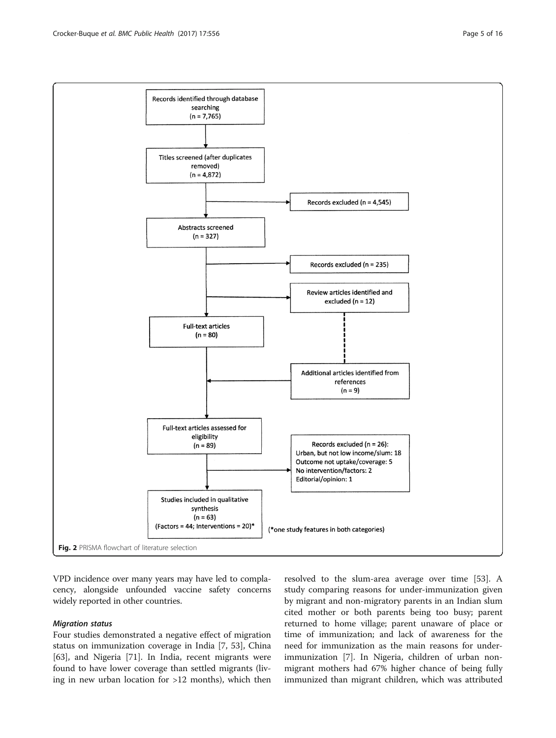<span id="page-4-0"></span>

VPD incidence over many years may have led to complacency, alongside unfounded vaccine safety concerns widely reported in other countries.

#### Migration status

Four studies demonstrated a negative effect of migration status on immunization coverage in India [[7,](#page-13-0) [53](#page-14-0)], China [[63\]](#page-14-0), and Nigeria [[71\]](#page-14-0). In India, recent migrants were found to have lower coverage than settled migrants (living in new urban location for >12 months), which then

resolved to the slum-area average over time [[53](#page-14-0)]. A study comparing reasons for under-immunization given by migrant and non-migratory parents in an Indian slum cited mother or both parents being too busy; parent returned to home village; parent unaware of place or time of immunization; and lack of awareness for the need for immunization as the main reasons for underimmunization [\[7](#page-13-0)]. In Nigeria, children of urban nonmigrant mothers had 67% higher chance of being fully immunized than migrant children, which was attributed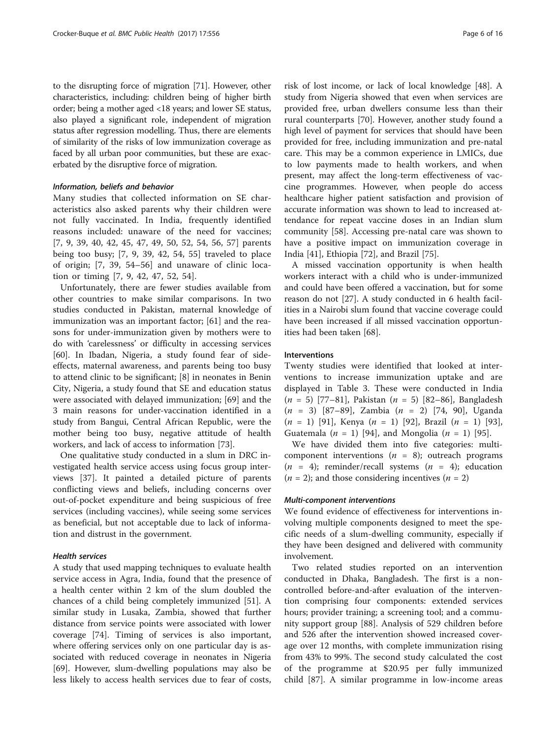to the disrupting force of migration [[71\]](#page-14-0). However, other characteristics, including: children being of higher birth order; being a mother aged <18 years; and lower SE status, also played a significant role, independent of migration status after regression modelling. Thus, there are elements of similarity of the risks of low immunization coverage as faced by all urban poor communities, but these are exacerbated by the disruptive force of migration.

## Information, beliefs and behavior

Many studies that collected information on SE characteristics also asked parents why their children were not fully vaccinated. In India, frequently identified reasons included: unaware of the need for vaccines; [[7, 9, 39](#page-13-0), [40](#page-13-0), [42](#page-13-0), [45](#page-13-0), [47](#page-13-0), [49](#page-13-0), [50,](#page-13-0) [52, 54, 56, 57\]](#page-14-0) parents being too busy; [[7, 9](#page-13-0), [39, 42](#page-13-0), [54, 55](#page-14-0)] traveled to place of origin; [[7](#page-13-0), [39](#page-13-0), [54](#page-14-0)–[56\]](#page-14-0) and unaware of clinic location or timing [\[7](#page-13-0), [9, 42, 47,](#page-13-0) [52](#page-14-0), [54](#page-14-0)].

Unfortunately, there are fewer studies available from other countries to make similar comparisons. In two studies conducted in Pakistan, maternal knowledge of immunization was an important factor; [\[61](#page-14-0)] and the reasons for under-immunization given by mothers were to do with 'carelessness' or difficulty in accessing services [[60\]](#page-14-0). In Ibadan, Nigeria, a study found fear of sideeffects, maternal awareness, and parents being too busy to attend clinic to be significant; [\[8](#page-13-0)] in neonates in Benin City, Nigeria, a study found that SE and education status were associated with delayed immunization; [[69](#page-14-0)] and the 3 main reasons for under-vaccination identified in a study from Bangui, Central African Republic, were the mother being too busy, negative attitude of health workers, and lack of access to information [\[73](#page-14-0)].

One qualitative study conducted in a slum in DRC investigated health service access using focus group interviews [[37](#page-13-0)]. It painted a detailed picture of parents conflicting views and beliefs, including concerns over out-of-pocket expenditure and being suspicious of free services (including vaccines), while seeing some services as beneficial, but not acceptable due to lack of information and distrust in the government.

# Health services

A study that used mapping techniques to evaluate health service access in Agra, India, found that the presence of a health center within 2 km of the slum doubled the chances of a child being completely immunized [[51](#page-14-0)]. A similar study in Lusaka, Zambia, showed that further distance from service points were associated with lower coverage [[74\]](#page-14-0). Timing of services is also important, where offering services only on one particular day is associated with reduced coverage in neonates in Nigeria [[69\]](#page-14-0). However, slum-dwelling populations may also be less likely to access health services due to fear of costs,

risk of lost income, or lack of local knowledge [\[48\]](#page-13-0). A study from Nigeria showed that even when services are provided free, urban dwellers consume less than their rural counterparts [\[70](#page-14-0)]. However, another study found a high level of payment for services that should have been provided for free, including immunization and pre-natal care. This may be a common experience in LMICs, due to low payments made to health workers, and when present, may affect the long-term effectiveness of vaccine programmes. However, when people do access healthcare higher patient satisfaction and provision of accurate information was shown to lead to increased attendance for repeat vaccine doses in an Indian slum community [\[58\]](#page-14-0). Accessing pre-natal care was shown to have a positive impact on immunization coverage in India [[41\]](#page-13-0), Ethiopia [[72\]](#page-14-0), and Brazil [\[75\]](#page-14-0).

A missed vaccination opportunity is when health workers interact with a child who is under-immunized and could have been offered a vaccination, but for some reason do not [\[27](#page-13-0)]. A study conducted in 6 health facilities in a Nairobi slum found that vaccine coverage could have been increased if all missed vaccination opportunities had been taken [[68](#page-14-0)].

#### Interventions

Twenty studies were identified that looked at interventions to increase immunization uptake and are displayed in Table [3.](#page-6-0) These were conducted in India  $(n = 5)$  [[77](#page-14-0)–[81](#page-14-0)], Pakistan  $(n = 5)$  [[82](#page-14-0)–[86](#page-14-0)], Bangladesh (n = 3) [[87](#page-14-0)–[89\]](#page-14-0), Zambia (n = 2) [\[74](#page-14-0), [90](#page-14-0)], Uganda  $(n = 1)$  [[91\]](#page-14-0), Kenya  $(n = 1)$  [[92\]](#page-14-0), Brazil  $(n = 1)$  [\[93](#page-14-0)], Guatemala ( $n = 1$ ) [\[94](#page-14-0)], and Mongolia ( $n = 1$ ) [\[95](#page-14-0)].

We have divided them into five categories: multicomponent interventions  $(n = 8)$ ; outreach programs  $(n = 4)$ ; reminder/recall systems  $(n = 4)$ ; education  $(n = 2)$ ; and those considering incentives  $(n = 2)$ 

# Multi-component interventions

We found evidence of effectiveness for interventions involving multiple components designed to meet the specific needs of a slum-dwelling community, especially if they have been designed and delivered with community involvement.

Two related studies reported on an intervention conducted in Dhaka, Bangladesh. The first is a noncontrolled before-and-after evaluation of the intervention comprising four components: extended services hours; provider training; a screening tool; and a community support group [[88\]](#page-14-0). Analysis of 529 children before and 526 after the intervention showed increased coverage over 12 months, with complete immunization rising from 43% to 99%. The second study calculated the cost of the programme at \$20.95 per fully immunized child [[87](#page-14-0)]. A similar programme in low-income areas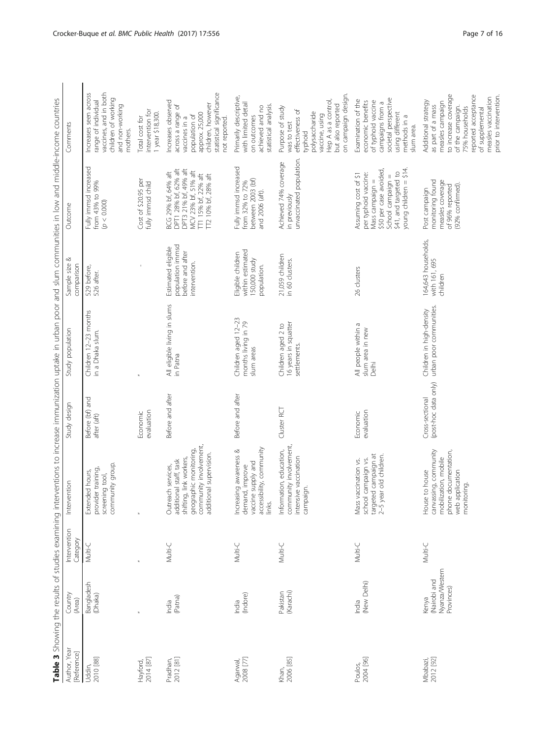<span id="page-6-0"></span>

|                             |                                                       |                          |                                                                                                                                                        |                                         | Table 3 Showing the results of studies examining interventions to increase immunization uptake in urban poor and slum communities in low and middle-income countries |                                                                             |                                                                                                                                                                   |                                                                                                                                                                                                                       |
|-----------------------------|-------------------------------------------------------|--------------------------|--------------------------------------------------------------------------------------------------------------------------------------------------------|-----------------------------------------|----------------------------------------------------------------------------------------------------------------------------------------------------------------------|-----------------------------------------------------------------------------|-------------------------------------------------------------------------------------------------------------------------------------------------------------------|-----------------------------------------------------------------------------------------------------------------------------------------------------------------------------------------------------------------------|
| Author, Year<br>[Reference] | Country<br>(Area)                                     | Intervention<br>Category | Intervention                                                                                                                                           | Study design                            | Study population                                                                                                                                                     | ∞<br>Sample size<br>comparison                                              | Outcome                                                                                                                                                           | Comments                                                                                                                                                                                                              |
| 2010 [88]<br>Uddin,         | Bangladesh<br>(Dhaka)                                 | Multi-C                  | community group.<br>provider training,<br>Extended hours,<br>screening tool,                                                                           | Before (bf) and<br>after (aft)          | Children 12-23 months<br>in a Dhaka slum.                                                                                                                            | 529 before,<br>526 after.                                                   | Fully immsd increased<br>from 43% to 99%<br>(p < 0.000)                                                                                                           | vaccines, and in both<br>Increases seen across<br>children of working<br>range of individual<br>and non-working<br>mothers.                                                                                           |
| 2014 [87]<br>Hayford,       |                                                       | $\overline{a}$           |                                                                                                                                                        | evaluation<br>Economic                  | $\overline{a}$                                                                                                                                                       |                                                                             | Cost of \$20.95 per<br>fully immsd child                                                                                                                          | intervention for<br>1 year \$18,300.<br>Total cost for                                                                                                                                                                |
| Pradhan,<br>2012 [81]       | (Patna)<br>India                                      | Multi-C                  | community involvement,<br>geographic monitoring,<br>additional supervision.<br>shifting, link workers,<br>Outreach services,<br>additional staff, task | Before and after                        | All eligible living in slums<br>in Patna                                                                                                                             | population immsd<br>Estimated eligible<br>before and after<br>intervention. | DPT3 21% bf, 49% aft<br>DPT1 28% bf, 62% aft<br>MCV 23% bf, 51% aft<br>BCG 29% bf, 64% aft<br>TT1 15% bf, 22% aft<br>TT2 10% bf, 28% aft                          | statistical significance<br>Increases observed<br>children, however<br>across a range of<br>арргох. 25,000<br>population of<br>vaccines in a<br>not reported.                                                         |
| Agarwal,<br>2008 [77]       | (Indore)<br>India                                     | Multi-C                  | accessibility, community<br>Increasing awareness &<br>vaccine supply and<br>demand, improve<br>links.                                                  | Before and after                        | Children aged 12-23<br>months living in 79<br>slum areas                                                                                                             | within estimated<br>Eligible children<br>150,000 study<br>population.       | Fully immsd increased<br>between 2003 (bf)<br>from 32% to 72%<br>and 2006 (aft).                                                                                  | Primarily descriptive,<br>with limited detail<br>statistical analysis.<br>achieved and no<br>on outcomes                                                                                                              |
| 2006 [85]<br>Khan,          | (Karachi)<br>Pakistan                                 | Multi-C                  | community involvement,<br>Information, education,<br>intensive vaccination<br>campaign.                                                                | Cluster RCT                             | 16 years in squatter<br>Children aged 2 to<br>settlements.                                                                                                           | 21,059 children<br>in 60 clusters.                                          | unvaccinated population.<br>Achieved 74% coverage<br>in previously                                                                                                | on campaign design.<br>Hep A as a control,<br>but also reported<br>Purpose of study<br>effectiveness of<br>polysaccharide<br>vaccine, using<br>was to test<br>typhoid                                                 |
| 2004 [96]<br>Poulos,        | (New Delhi)<br>India                                  | Multi-C                  | targeted campaign at<br>2–5 year old children.<br>school campaign vs.<br>vaccination vs.<br>Mass                                                       | Economic<br>evaluation                  | All people within a<br>slum area in new<br>Delhi                                                                                                                     | 26 clusters                                                                 | young children = \$14.<br>\$50 per case avoided,<br>\$41, and targeted to<br>per typhoid vaccine:<br>Assuming cost of \$1<br>School campaign =<br>Mass campaign = | societal perspective<br>Examination of the<br>economic benefits<br>of typhoid vaccine<br>campaigns from a<br>using different<br>methods in a<br>slum area.                                                            |
| 2012 [92]<br>Mbabazi,       | Nyanza/Western<br>(Nairobi and<br>Provinces)<br>Kenya | Multi-C                  | canvassing, community<br>phone documentation,<br>mobilization, mobile<br>House to house<br>web application<br>monitoring.                              | (post-hoc data only)<br>Cross-sectional | urban poor communities.<br>Children in high-density                                                                                                                  | 164,643 households,<br>with 161, 695<br>children                            | monitoring found<br>measles coverage<br>(92% confirmed).<br>of 96% reported<br>Post campaign                                                                      | to increase coverage<br>reported acceptance<br>prior to intervention.<br>measles vaccination<br>Additional strategy<br>measles campaign<br>as part of a mass<br>of the campaign.<br>75% households<br>of supplemental |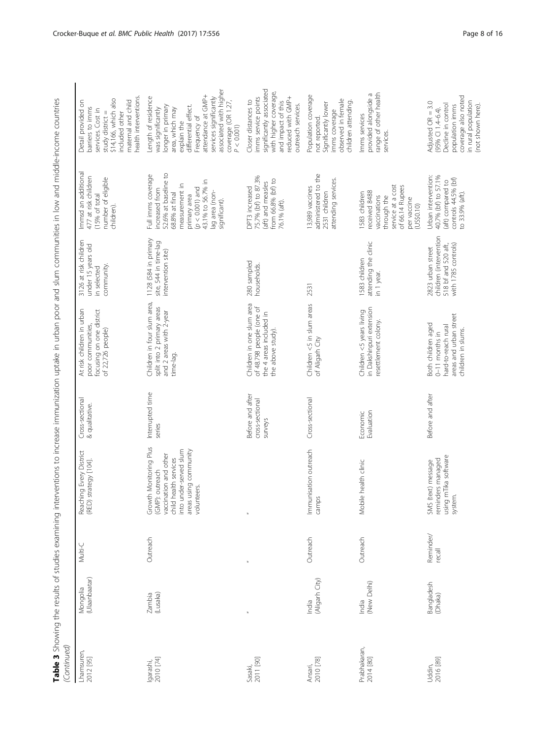| $\frac{c}{\underline{d}}$<br>j                                                                             |   |
|------------------------------------------------------------------------------------------------------------|---|
|                                                                                                            |   |
| ì                                                                                                          |   |
| $\ddot{\phantom{a}}$<br>۱                                                                                  |   |
| j                                                                                                          |   |
| l<br>J                                                                                                     |   |
|                                                                                                            |   |
| l<br>)<br>)<br>:<br>l                                                                                      |   |
|                                                                                                            |   |
| $\frac{1}{2}$<br>ī<br>j<br>י                                                                               |   |
| i<br>ī                                                                                                     |   |
| ś<br>į                                                                                                     |   |
|                                                                                                            |   |
| ֧֧֧֢ׅ֧֧֧֧֧֧֧֦֧֧֧֧֧֧֧֦֧֧֧֧֧֧֧֧֧֧֚֚֚֚֚֚֚֚֚֚֚֚֚֚֚֚֚֚֚֝֝֓֓֓֝֬֝֬֓֓֬֓֬֓֬֓֝֬֓֝֬֓֬֝֬֝֬<br>֧֧֧֪֧֜֜<br>$\frac{1}{2}$ |   |
| l<br>j                                                                                                     |   |
| $\ddot{\phantom{0}}$<br>l                                                                                  |   |
|                                                                                                            |   |
|                                                                                                            |   |
| $T$ In $\sim$<br>:<br>)                                                                                    |   |
|                                                                                                            |   |
|                                                                                                            |   |
| 3                                                                                                          |   |
|                                                                                                            |   |
|                                                                                                            |   |
| $\frac{1}{2}$                                                                                              |   |
|                                                                                                            |   |
| j                                                                                                          |   |
| delive community<br>١                                                                                      |   |
| ļ<br>١                                                                                                     |   |
| İ<br>j                                                                                                     |   |
| .<br>I<br>١                                                                                                |   |
|                                                                                                            |   |
| ļ                                                                                                          |   |
| 3<br>i<br>ī                                                                                                |   |
| Ś                                                                                                          |   |
|                                                                                                            |   |
| ייו מו<br>ļ<br>j                                                                                           |   |
| Ý<br>J                                                                                                     |   |
|                                                                                                            |   |
| $\sim$ $+$ $\sim$<br>۱                                                                                     |   |
| ļ<br>¢<br>j                                                                                                |   |
|                                                                                                            |   |
| i                                                                                                          |   |
| ï<br>١                                                                                                     |   |
| ί<br>i                                                                                                     |   |
|                                                                                                            |   |
|                                                                                                            |   |
| Ş<br>$\overline{\phantom{a}}$                                                                              |   |
| l                                                                                                          |   |
| C<br>C<br>)<br>S<br>)<br>i<br>1                                                                            |   |
| ì<br>í                                                                                                     |   |
|                                                                                                            |   |
| $\frac{1}{2}$                                                                                              |   |
| ١                                                                                                          |   |
| S<br>ׇ֚֬֓֕֬֝֬֝֬֝֬<br>$\overline{\phantom{a}}$<br>j                                                         |   |
| j                                                                                                          |   |
| J                                                                                                          |   |
|                                                                                                            |   |
| $\frac{1}{2}$                                                                                              |   |
| <b>Interventi</b><br>$\overline{a}$                                                                        |   |
| l<br>֠                                                                                                     |   |
|                                                                                                            |   |
|                                                                                                            |   |
| $\ddot{\phantom{a}}$                                                                                       |   |
| l                                                                                                          |   |
| í<br>I                                                                                                     |   |
| i<br>֖֖֖֖֖֖֖֖֖֧֖֧֪֪֪֪֪֧֚֚֚֚֚֚֚֚֚֚֚֚֚֚֚֚֚֚֚֚֚֚֚֚֡֬֝֬֝֓֞֡֓֞֡֝֓֞֓֞֡֬                                          |   |
| j                                                                                                          |   |
| .<br>.<br>.                                                                                                |   |
| I<br>١                                                                                                     |   |
| ì                                                                                                          |   |
| ٢<br>ł                                                                                                     |   |
| ,<br>֘֝֕<br>j                                                                                              |   |
|                                                                                                            |   |
|                                                                                                            |   |
| i<br>$\mathbf{r}$<br>١                                                                                     |   |
|                                                                                                            |   |
| Ì                                                                                                          |   |
| I                                                                                                          |   |
| ť                                                                                                          | ١ |
|                                                                                                            |   |
| l                                                                                                          |   |
| l                                                                                                          | I |

| (Continued)               |                           |                     |                                                                                                                                                                    |                                                |                                                                                                               |                                                                                           |                                                                                                                                                                                               |                                                                                                                                                                                                                                                      |
|---------------------------|---------------------------|---------------------|--------------------------------------------------------------------------------------------------------------------------------------------------------------------|------------------------------------------------|---------------------------------------------------------------------------------------------------------------|-------------------------------------------------------------------------------------------|-----------------------------------------------------------------------------------------------------------------------------------------------------------------------------------------------|------------------------------------------------------------------------------------------------------------------------------------------------------------------------------------------------------------------------------------------------------|
| Lhamsuren,<br>2012 [95]   | (Ulaanbaatar)<br>Mongolia | Multi-C             | Reaching Every District<br>strategy [104].<br>(RED)                                                                                                                | Cross-sectional<br>& qualitative.              | At risk children in urban<br>focusing on one district<br>poor communities,<br>of 22,726 people)               | 3126 at risk children<br>under 15 years old<br>community.<br>in selected                  | Immsd an additional<br>477 at risk children<br>number of eligible<br>(15% of total<br>children).                                                                                              | realth interventions.<br>\$14,166, which also<br>maternal and child<br>Detail provided on<br>barriers to imms<br>services. Cost in<br>study district =<br>included other                                                                             |
| Igarashi,<br>2010 [74]    | (Lusaka)<br>Zambia        | Outreach            | Growth Monitoring Plus<br>into under-served slum<br>areas using community<br>vaccination and other<br>child health services<br>(GMP): outreach<br>teers.<br>volunt | Interrupted time<br>series                     | Children in four slum area,<br>split into 2 primary areas<br>and 2 areas with 2-year<br>time-lag.             | 1128 (584 in primary<br>site, 544 in time-lag<br>intervention site)                       | 52.6% at baseline to<br>Full imms coverage<br>43.1% to 56.7% in<br>measurement in<br>$p < 0.001$ ) and<br>increased from<br>lag area (non-<br>68.8% at final<br>primary area<br>significant). | associated with higher<br>attendance at GMP+<br>Length of residence<br>services significantly<br>coverage (OR 1.27,<br>longer in primary<br>differential effect.<br>area, which may<br>was significantly<br>Frequency of<br>explain the<br>P < 0.001 |
| 2011 [90]<br>Sasaki,      |                           |                     |                                                                                                                                                                    | Before and after<br>cross-sectional<br>surveys | Children in one slum area<br>of 48.798 people (one of<br>the 4 areas included in<br>the above study).         | 280 sampled<br>households.                                                                | 75.7% (bf) to 87.3%<br>from 66.8% (bf) to<br>(aft) and measles<br>DPT3 increased<br>76.1% (aft).                                                                                              | significantly associated<br>with higher coverage,<br>educed with GMP+<br>imms service points<br>Closer distances to<br>and impact of this<br>outreach services.                                                                                      |
| Ansari,<br>2010 [78]      | (Aligarh City)<br>India   | Outreach            | Immunisation outreach<br>camps                                                                                                                                     | Cross-sectional                                | Children <5 in slum areas<br>of Aligarh City                                                                  | 2531                                                                                      | administered to the<br>attending services.<br>13,989 vaccines<br>2531 children                                                                                                                | Population coverage<br>observed in female<br>children attending.<br>Significantly lower<br>imms coverage<br>not reported.                                                                                                                            |
| Prabhakaran,<br>2014 [80] | (New Delhi)<br>India      | Outreach            | Mobile health clinic                                                                                                                                               | Evaluation<br>Economic                         | in Dakshinpuri extension<br>Children <5 years living<br>resettlement colony.                                  | attending the clinic<br>1583 children<br>in 1 year.                                       | of 66.14 Rupees<br>service at a cost<br>received 8488<br>1583 children<br>vaccinations<br>through the<br>per vaccine<br>(US\$0.10)                                                            | range of other health<br>provided alongside a<br>Imms services<br>services.                                                                                                                                                                          |
| 2016 [89]<br>Uddin,       | Bangladesh<br>(Dhaka)     | Reminder/<br>recall | using mTika software<br>reminders managed<br>SMS (text) message<br>system.                                                                                         | Before and after                               | areas and urban street<br>Both children aged<br>hard-to-reach rural<br>children in slums.<br>$0-11$ months in | children (intervention<br>with 1785 controls)<br>518 bf and 520 aft,<br>2823 urban street | Urban intervention:<br>40.7% (bf) to 57.1%<br>controls 44.5% (bf)<br>(aft) compared to<br>to 33.9% (aft).                                                                                     | coverage also noted<br>in rural population<br>Adjusted $OR = 3.0$<br>Decline in control<br>population imms<br>(not shown here).<br>$(95% \text{ C}114-64)$                                                                                           |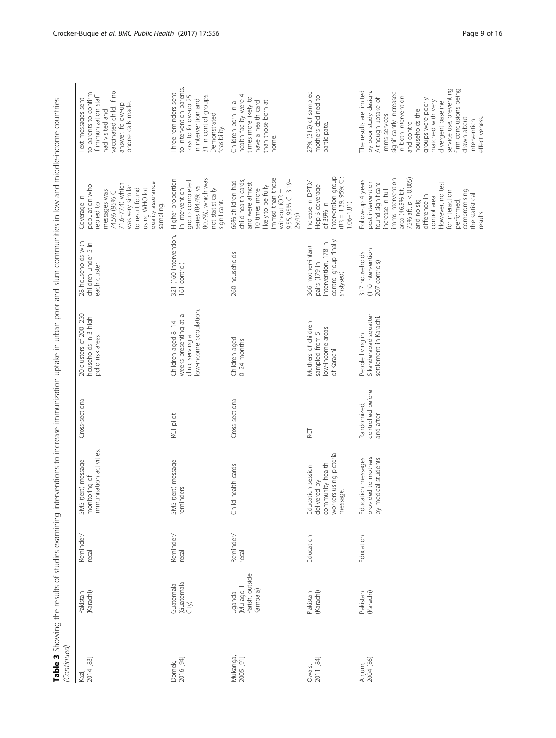| (Continued)           |                                                    |                     |                                                                                              |                                               |                                                                                           |                                                                                                  |                                                                                                                                                                                                                                                                                                       |                                                                                                                                                                                                                                                                                                                                                    |
|-----------------------|----------------------------------------------------|---------------------|----------------------------------------------------------------------------------------------|-----------------------------------------------|-------------------------------------------------------------------------------------------|--------------------------------------------------------------------------------------------------|-------------------------------------------------------------------------------------------------------------------------------------------------------------------------------------------------------------------------------------------------------------------------------------------------------|----------------------------------------------------------------------------------------------------------------------------------------------------------------------------------------------------------------------------------------------------------------------------------------------------------------------------------------------------|
| 2014 [83]<br>Kazi,    | (Karachi)<br>Pakistan                              | Reminder/<br>recall | immunisation activities.<br>(text) message<br>monitoring of<br>SMS                           | Cross-sectional                               | 20 clusters of 200-250<br>households in 3 high<br>polio risk areas.                       | 28 households with<br>children under 5 in<br>each cluster.                                       | quality assurance<br>71.6-77.4) which<br>population who<br>was very similar<br>to result found<br>using WHO lot<br>messages was<br>74.5% (95% CI<br>Coverage in<br>replied to<br>sampling.                                                                                                            | vaccinated child. If no<br>to parents to confirm<br>if immunization staff<br>Text messages sent<br>phone calls made.<br>answer, follow-up<br>had visited and                                                                                                                                                                                       |
| 2016 [94]<br>Domek,   | (Guatemala<br>Guatemala<br>City)                   | Reminder/<br>recall | (text) message<br>reminders<br>SMS                                                           | RCT pilot                                     | low-income population.<br>weeks presenting at a<br>Children aged 8-14<br>clinic serving a | 321 (160 intervention,<br>161 control)                                                           | 80.7%), which was<br>Higher proportion<br>group completed<br>series (84.4% vs<br>in intervention<br>not statistically<br>significant.                                                                                                                                                                 | to intervention parents.<br>Three reminders sent<br>31 in control groups.<br>Loss to follow-up 25<br>in intervention and<br>Demonstrated<br>feasibility.                                                                                                                                                                                           |
| Mukanga,<br>2005 [91] | Parish, outside<br>Il opsluM)<br>(ampala<br>Uganda | Reminder/<br>recall | Child health cards                                                                           | Cross-sectional                               | Children aged<br>$0-24$ months                                                            | 260 households                                                                                   | immsd than those<br>child health cards,<br>66% children had<br>9.55, 95% CI 3.19-<br>and were almost<br>likely to be fully<br>10 times more<br>without $(OR =$<br>29.45)                                                                                                                              | health facility were 4<br>times more likely to<br>than those born at<br>have a health card<br>Children born in a<br>home.                                                                                                                                                                                                                          |
| Owais,<br>2011 [84]   | (Karachi)<br>Pakistan                              | Education           | workers using pictorial<br>community health<br>Education session<br>delivered by<br>message. | DS<br>R                                       | Mothers of children<br>low-income areas<br>sampled from 5<br>of Karachi                   | control group finally<br>snslysed)<br>intervention, 178 in<br>366 mother-infant<br>pairs (179 in | intervention group<br>$RR = 1.39, 95\%$ CI:<br>Increase in DPT3/<br>Hep B coverage<br>$1.06 - 1.81$<br>of 39% in                                                                                                                                                                                      | 27% (312) of sampled<br>mothers declined to<br>participate.                                                                                                                                                                                                                                                                                        |
| Anjum,<br>2004 [86]   | (Karachi)<br>Pakistan                              | Education           | provided to mothers<br>Education messages<br>by medical students                             | controlled before<br>Randomized,<br>and after | Sikanderabad squatter<br>settlement in Karachi.<br>People living in                       | (110 intervention<br>317 households<br>207 controls)                                             | imms intervention<br>75% aft, $p < 0.005$ )<br>Follow-up 4 years<br>post intervention<br>found significant<br>However, no test<br>increase in full<br>area (46.5% bf,<br>compromising<br>for interaction<br>the statistical<br>difference in<br>control area.<br>performed,<br>and no sig<br>results. | service use, preventing<br>firm conclusions being<br>The results are limited<br>by poor study design.<br>significantly increased<br>in both intervention<br>Although uptake of<br>groups were poorly<br>matched with very<br>divergent baseline<br>households the<br>imms services<br>drawn about<br>effectiveness.<br>intervention<br>and control |

Table 3 Showing the results of studies examining interventions to increase immunization uptake in urban poor and slum communities in low and middle-income countries Table 3 Showing the results of studies examining interventions to increase immunization uptake in urban poor and slum communities in low and middle-income countries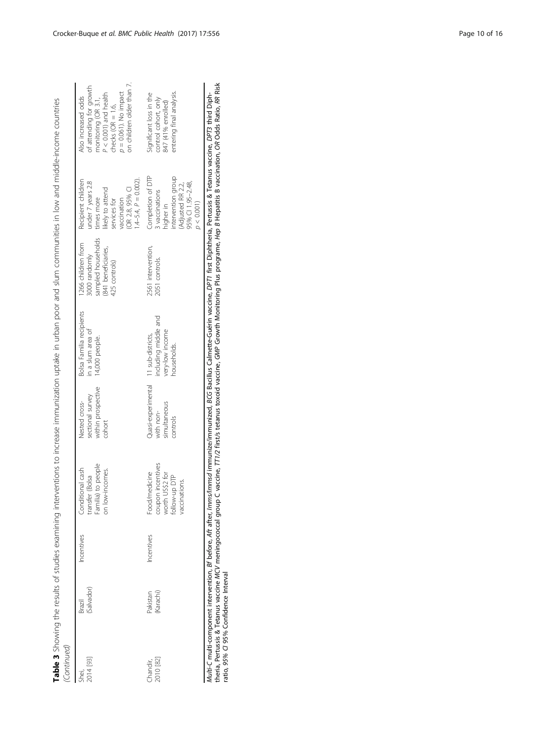Table 3 Showing the results of studies examining interventions to increase immunization uptake in urban poor and slum communities in low and middle-income countries<br>(Continued) Table 3 Showing the results of studies examining interventions to increase immunization uptake in urban poor and slum communities in low and middle-income countries (Continued)

| / שלוויות ושכנו       |                       |            |                                                                                         |                                                                               |                                                                 |                                                                                                   |                                                                                                                                                     |                                                                                                                                                                                     |
|-----------------------|-----------------------|------------|-----------------------------------------------------------------------------------------|-------------------------------------------------------------------------------|-----------------------------------------------------------------|---------------------------------------------------------------------------------------------------|-----------------------------------------------------------------------------------------------------------------------------------------------------|-------------------------------------------------------------------------------------------------------------------------------------------------------------------------------------|
| 2014 [93]<br>Shei,    | (Salvador)<br>Brazil  | Incentives | Conditional cash<br>transfer (Bolsa<br>Familia) to people<br>on low-incomes.            | within prospective<br>sectional survey<br>Nested cross-<br>cohort             | Bolsa Familia recipients<br>in a slum area of<br>14,000 people. | sampled households<br>1266 children from<br>(841 beneficiaries,<br>3000 randomly<br>425 controls) | Recipient children<br>under 7 years 2.8<br>(OR 2.8, 95% CI<br>1.4–5.4, P = 0.002).<br>likely to attend<br>vaccination<br>times more<br>services for | on children older than 7.<br>of attending for growth<br>$p = 0.061$ ). No impact<br>$P < 0.001$ ) and health<br>Also increased odds<br>monitoring (OR 3.1,<br>checks ( $OR = 1.6$ , |
| Chandir,<br>2010 [82] | Pakistan<br>(Karachi) | ncentives  | coupon incentives<br>worth US\$2 for<br>follow-up DTP<br>Food/medicine<br>vaccinations. | Quasi-experimental 11 sub-districts,<br>simultaneous<br>with non-<br>controls | including middle and<br>very-low income<br>households.          | 2561 intervention,<br>2051 controls.                                                              | Completion of DTP<br>intervention group<br>(Adjusted RR 2.2,<br>95% Cl 1.95-2.48,<br>3 vaccinations<br>higher in<br>p < 0.001                       | entering final analysis.<br>Significant loss in the<br>control cohort, only<br>847 (41% enrolled)                                                                                   |

*Multi-C* multi-component intervention, *Bf* before, *Af*t after, *Imms/Immsd* immunized, BCG Bacillus Calmette-Guérin vaccine, DPT1 first Diphtheria, Pertussis & Tetanus vaccine, DPT3 third Diph-<br>theria, Pertussis & Tetan theria, Pertussis & Tetanus vaccine MCV meningococcal group C vaccine, TT1/2 first/s tetanus toxoid vaccine, GMP Growth Monitoring Plus programe, Hep B Hepatitis B vaccination, OR Odds Ratio, RR Risk Multi-C multi-component intervention, *Bf before, Aft after, Imms/Immunized*, mmunized; mmunized, BCG Bacillus Calmette-Guérin vaccine, DPT1 first Diphtheria, Pertussis & Tetanus vaccine, DPT3 third Diphratio, 95% CI 95% Confidence Interval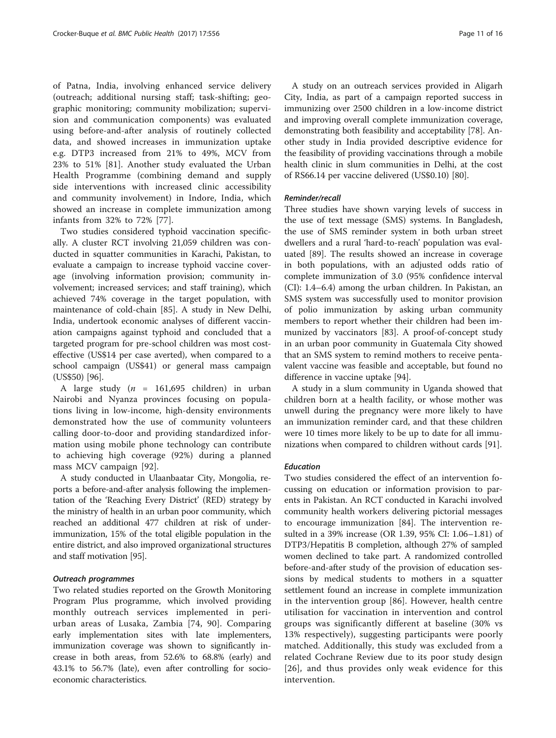of Patna, India, involving enhanced service delivery (outreach; additional nursing staff; task-shifting; geographic monitoring; community mobilization; supervision and communication components) was evaluated using before-and-after analysis of routinely collected data, and showed increases in immunization uptake e.g. DTP3 increased from 21% to 49%, MCV from 23% to 51% [\[81](#page-14-0)]. Another study evaluated the Urban Health Programme (combining demand and supply side interventions with increased clinic accessibility and community involvement) in Indore, India, which showed an increase in complete immunization among infants from 32% to 72% [\[77](#page-14-0)].

Two studies considered typhoid vaccination specifically. A cluster RCT involving 21,059 children was conducted in squatter communities in Karachi, Pakistan, to evaluate a campaign to increase typhoid vaccine coverage (involving information provision; community involvement; increased services; and staff training), which achieved 74% coverage in the target population, with maintenance of cold-chain [\[85](#page-14-0)]. A study in New Delhi, India, undertook economic analyses of different vaccination campaigns against typhoid and concluded that a targeted program for pre-school children was most costeffective (US\$14 per case averted), when compared to a school campaign (US\$41) or general mass campaign (US\$50) [\[96\]](#page-15-0).

A large study ( $n = 161,695$  children) in urban Nairobi and Nyanza provinces focusing on populations living in low-income, high-density environments demonstrated how the use of community volunteers calling door-to-door and providing standardized information using mobile phone technology can contribute to achieving high coverage (92%) during a planned mass MCV campaign [[92\]](#page-14-0).

A study conducted in Ulaanbaatar City, Mongolia, reports a before-and-after analysis following the implementation of the 'Reaching Every District' (RED) strategy by the ministry of health in an urban poor community, which reached an additional 477 children at risk of underimmunization, 15% of the total eligible population in the entire district, and also improved organizational structures and staff motivation [\[95\]](#page-14-0).

#### Outreach programmes

Two related studies reported on the Growth Monitoring Program Plus programme, which involved providing monthly outreach services implemented in periurban areas of Lusaka, Zambia [\[74, 90](#page-14-0)]. Comparing early implementation sites with late implementers, immunization coverage was shown to significantly increase in both areas, from 52.6% to 68.8% (early) and 43.1% to 56.7% (late), even after controlling for socioeconomic characteristics.

A study on an outreach services provided in Aligarh City, India, as part of a campaign reported success in immunizing over 2500 children in a low-income district and improving overall complete immunization coverage, demonstrating both feasibility and acceptability [[78](#page-14-0)]. Another study in India provided descriptive evidence for the feasibility of providing vaccinations through a mobile health clinic in slum communities in Delhi, at the cost of RS66.14 per vaccine delivered (US\$0.10) [\[80](#page-14-0)].

#### Reminder/recall

Three studies have shown varying levels of success in the use of text message (SMS) systems. In Bangladesh, the use of SMS reminder system in both urban street dwellers and a rural 'hard-to-reach' population was evaluated [\[89](#page-14-0)]. The results showed an increase in coverage in both populations, with an adjusted odds ratio of complete immunization of 3.0 (95% confidence interval (CI): 1.4–6.4) among the urban children. In Pakistan, an SMS system was successfully used to monitor provision of polio immunization by asking urban community members to report whether their children had been immunized by vaccinators [[83\]](#page-14-0). A proof-of-concept study in an urban poor community in Guatemala City showed that an SMS system to remind mothers to receive pentavalent vaccine was feasible and acceptable, but found no difference in vaccine uptake [\[94](#page-14-0)].

A study in a slum community in Uganda showed that children born at a health facility, or whose mother was unwell during the pregnancy were more likely to have an immunization reminder card, and that these children were 10 times more likely to be up to date for all immunizations when compared to children without cards [[91](#page-14-0)].

#### Education

Two studies considered the effect of an intervention focussing on education or information provision to parents in Pakistan. An RCT conducted in Karachi involved community health workers delivering pictorial messages to encourage immunization [\[84](#page-14-0)]. The intervention resulted in a 39% increase (OR 1.39, 95% CI: 1.06–1.81) of DTP3/Hepatitis B completion, although 27% of sampled women declined to take part. A randomized controlled before-and-after study of the provision of education sessions by medical students to mothers in a squatter settlement found an increase in complete immunization in the intervention group [[86\]](#page-14-0). However, health centre utilisation for vaccination in intervention and control groups was significantly different at baseline (30% vs 13% respectively), suggesting participants were poorly matched. Additionally, this study was excluded from a related Cochrane Review due to its poor study design [[26](#page-13-0)], and thus provides only weak evidence for this intervention.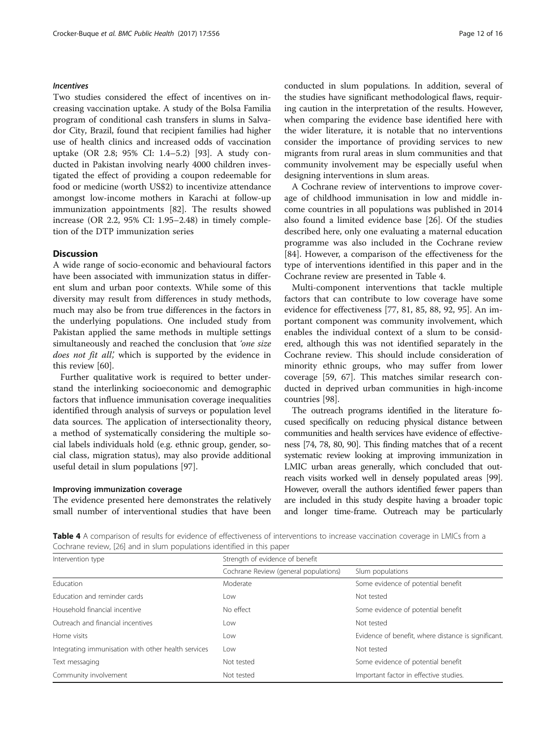# Incentives

Two studies considered the effect of incentives on increasing vaccination uptake. A study of the Bolsa Familia program of conditional cash transfers in slums in Salvador City, Brazil, found that recipient families had higher use of health clinics and increased odds of vaccination uptake (OR 2.8; 95% CI: 1.4–5.2) [[93\]](#page-14-0). A study conducted in Pakistan involving nearly 4000 children investigated the effect of providing a coupon redeemable for food or medicine (worth US\$2) to incentivize attendance amongst low-income mothers in Karachi at follow-up immunization appointments [[82\]](#page-14-0). The results showed increase (OR 2.2, 95% CI: 1.95–2.48) in timely completion of the DTP immunization series

### **Discussion**

A wide range of socio-economic and behavioural factors have been associated with immunization status in different slum and urban poor contexts. While some of this diversity may result from differences in study methods, much may also be from true differences in the factors in the underlying populations. One included study from Pakistan applied the same methods in multiple settings simultaneously and reached the conclusion that 'one size does not fit all', which is supported by the evidence in this review [\[60\]](#page-14-0).

Further qualitative work is required to better understand the interlinking socioeconomic and demographic factors that influence immunisation coverage inequalities identified through analysis of surveys or population level data sources. The application of intersectionality theory, a method of systematically considering the multiple social labels individuals hold (e.g. ethnic group, gender, social class, migration status), may also provide additional useful detail in slum populations [[97\]](#page-15-0).

#### Improving immunization coverage

The evidence presented here demonstrates the relatively small number of interventional studies that have been conducted in slum populations. In addition, several of the studies have significant methodological flaws, requiring caution in the interpretation of the results. However, when comparing the evidence base identified here with the wider literature, it is notable that no interventions consider the importance of providing services to new migrants from rural areas in slum communities and that community involvement may be especially useful when designing interventions in slum areas.

A Cochrane review of interventions to improve coverage of childhood immunisation in low and middle income countries in all populations was published in 2014 also found a limited evidence base [\[26\]](#page-13-0). Of the studies described here, only one evaluating a maternal education programme was also included in the Cochrane review [[84\]](#page-14-0). However, a comparison of the effectiveness for the type of interventions identified in this paper and in the Cochrane review are presented in Table 4.

Multi-component interventions that tackle multiple factors that can contribute to low coverage have some evidence for effectiveness [\[77](#page-14-0), [81](#page-14-0), [85](#page-14-0), [88](#page-14-0), [92](#page-14-0), [95](#page-14-0)]. An important component was community involvement, which enables the individual context of a slum to be considered, although this was not identified separately in the Cochrane review. This should include consideration of minority ethnic groups, who may suffer from lower coverage [[59](#page-14-0), [67\]](#page-14-0). This matches similar research conducted in deprived urban communities in high-income countries [[98](#page-15-0)].

The outreach programs identified in the literature focused specifically on reducing physical distance between communities and health services have evidence of effectiveness [[74](#page-14-0), [78, 80, 90](#page-14-0)]. This finding matches that of a recent systematic review looking at improving immunization in LMIC urban areas generally, which concluded that outreach visits worked well in densely populated areas [\[99](#page-15-0)]. However, overall the authors identified fewer papers than are included in this study despite having a broader topic and longer time-frame. Outreach may be particularly

Table 4 A comparison of results for evidence of effectiveness of interventions to increase vaccination coverage in LMICs from a Cochrane review, [[26](#page-13-0)] and in slum populations identified in this paper

| Intervention type                                   | Strength of evidence of benefit       |                                                     |
|-----------------------------------------------------|---------------------------------------|-----------------------------------------------------|
|                                                     | Cochrane Review (general populations) | Slum populations                                    |
| <b>Education</b>                                    | Moderate                              | Some evidence of potential benefit                  |
| Education and reminder cards                        | Low                                   | Not tested                                          |
| Household financial incentive                       | No effect                             | Some evidence of potential benefit                  |
| Outreach and financial incentives                   | Low                                   | Not tested                                          |
| Home visits                                         | Low                                   | Evidence of benefit, where distance is significant. |
| Integrating immunisation with other health services | Low                                   | Not tested                                          |
| Text messaging                                      | Not tested                            | Some evidence of potential benefit                  |
| Community involvement                               | Not tested                            | Important factor in effective studies.              |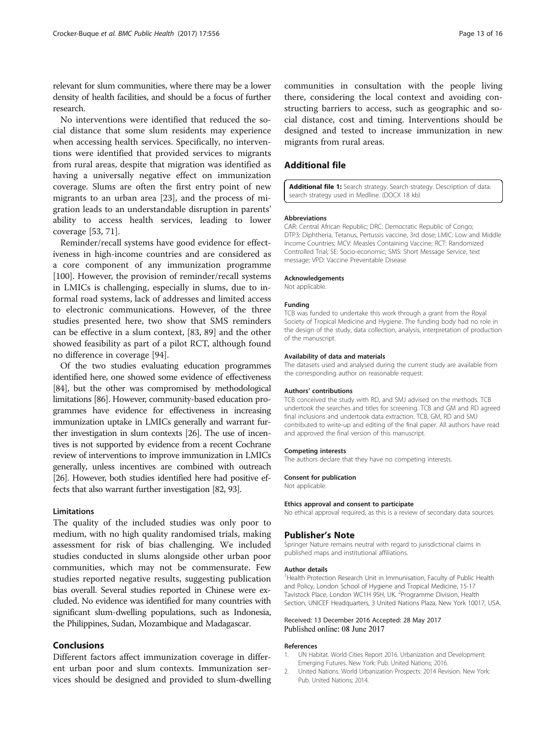<span id="page-12-0"></span>relevant for slum communities, where there may be a lower density of health facilities, and should be a focus of further research.

No interventions were identified that reduced the social distance that some slum residents may experience when accessing health services. Specifically, no interventions were identified that provided services to migrants from rural areas, despite that migration was identified as having a universally negative effect on immunization coverage. Slums are often the first entry point of new migrants to an urban area [[23\]](#page-13-0), and the process of migration leads to an understandable disruption in parents' ability to access health services, leading to lower coverage [\[53](#page-14-0), [71](#page-14-0)].

Reminder/recall systems have good evidence for effectiveness in high-income countries and are considered as a core component of any immunization programme [[100\]](#page-15-0). However, the provision of reminder/recall systems in LMICs is challenging, especially in slums, due to informal road systems, lack of addresses and limited access to electronic communications. However, of the three studies presented here, two show that SMS reminders can be effective in a slum context, [[83, 89\]](#page-14-0) and the other showed feasibility as part of a pilot RCT, although found no difference in coverage [[94\]](#page-14-0).

Of the two studies evaluating education programmes identified here, one showed some evidence of effectiveness [[84](#page-14-0)], but the other was compromised by methodological limitations [[86](#page-14-0)]. However, community-based education programmes have evidence for effectiveness in increasing immunization uptake in LMICs generally and warrant further investigation in slum contexts [\[26\]](#page-13-0). The use of incentives is not supported by evidence from a recent Cochrane review of interventions to improve immunization in LMICs generally, unless incentives are combined with outreach [[26](#page-13-0)]. However, both studies identified here had positive effects that also warrant further investigation [\[82, 93\]](#page-14-0).

#### Limitations

The quality of the included studies was only poor to medium, with no high quality randomised trials, making assessment for risk of bias challenging. We included studies conducted in slums alongside other urban poor communities, which may not be commensurate. Few studies reported negative results, suggesting publication bias overall. Several studies reported in Chinese were excluded. No evidence was identified for many countries with significant slum-dwelling populations, such as Indonesia, the Philippines, Sudan, Mozambique and Madagascar.

# Conclusions

Different factors affect immunization coverage in different urban poor and slum contexts. Immunization services should be designed and provided to slum-dwelling communities in consultation with the people living there, considering the local context and avoiding constructing barriers to access, such as geographic and social distance, cost and timing. Interventions should be designed and tested to increase immunization in new migrants from rural areas.

# Additional file

[Additional file 1:](dx.doi.org/10.1186/s12889-017-4473-7) Search strategy. Search strategy. Description of data: search strategy used in Medline. (DOCX 18 kb)

#### Abbreviations

CAR: Central African Republic; DRC: Democratic Republic of Congo; DTP3: Diphtheria, Tetanus, Pertussis vaccine, 3rd dose; LMIC: Low and Middle Income Countries; MCV: Measles Containing Vaccine; RCT: Randomized Controlled Trial; SE: Socio-economic; SMS: Short Message Service, text message; VPD: Vaccine Preventable Disease

#### Acknowledgements

Not applicable.

#### Funding

TCB was funded to undertake this work through a grant from the Royal Society of Tropical Medicine and Hygiene. The funding body had no role in the design of the study, data collection, analysis, interpretation of production of the manuscript.

#### Availability of data and materials

The datasets used and analysed during the current study are available from the corresponding author on reasonable request.

#### Authors' contributions

TCB conceived the study with RD, and SMJ advised on the methods. TCB undertook the searches and titles for screening. TCB and GM and RD agreed final inclusions and undertook data extraction. TCB, GM, RD and SMJ contributed to write-up and editing of the final paper. All authors have read and approved the final version of this manuscript.

#### Competing interests

The authors declare that they have no competing interests.

#### Consent for publication

Not applicable.

#### Ethics approval and consent to participate

No ethical approval required, as this is a review of secondary data sources.

#### Publisher's Note

Springer Nature remains neutral with regard to jurisdictional claims in published maps and institutional affiliations.

#### Author details

<sup>1</sup> Health Protection Research Unit in Immunisation, Faculty of Public Health and Policy, London School of Hygiene and Tropical Medicine, 15-17 Tavistock Place, London WC1H 9SH, UK. <sup>2</sup>Programme Division, Health Section, UNICEF Headquarters, 3 United Nations Plaza, New York 10017, USA.

#### Received: 13 December 2016 Accepted: 28 May 2017 Published online: 08 June 2017

#### References

- 1. UN Habitat. World Cities Report 2016. Urbanization and Development: Emerging Futures. New York: Pub. United Nations; 2016.
- 2. United Nations. World Urbanization Prospects: 2014 Revision. New York: Pub. United Nations; 2014.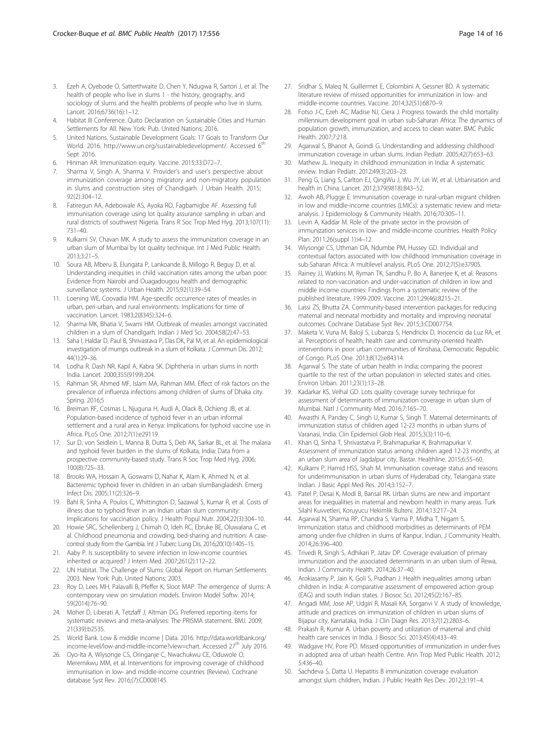- <span id="page-13-0"></span>3. Ezeh A, Oyebode O, Satterthwaite D, Chen Y, Ndugwa R, Sartori J, et al. The health of people who live in slums 1 - the history, geography, and sociology of slums and the health problems of people who live in slums. Lancet. 2016;6736(16):1–12.
- 4. Habitat III Conference. Quito Declaration on Sustainable Cities and Human Settlements for All. New York: Pub. United Nations; 2016.
- 5. United Nations. Sustainable Development Goals: 17 Goals to Transform Our World. 2016. [http://www.un.org/sustainabledevelopment/.](http://www.un.org/sustainabledevelopment) Accessed 6<sup>th</sup> Sept 2016.
- 6. Hinman AR. Immunization equity. Vaccine. 2015;33:D72–7.
- 7. Sharma V, Singh A, Sharma V. Provider's and user's perspective about immunization coverage among migratory and non-migratory population in slums and construction sites of Chandigarh. J Urban Health. 2015; 92(2):304–12.
- 8. Fatiregun AA, Adebowale AS, Ayoka RO, Fagbamigbe AF. Assessing full immunisation coverage using lot quality assurance sampling in urban and rural districts of southwest Nigeria. Trans R Soc Trop Med Hyg. 2013;107(11): 731–40.
- 9. Kulkarni SV, Chavan MK. A study to assess the immunization coverage in an urban slum of Mumbai by lot quality technique. Int J Med Public Health. 2013;3:21–5.
- 10. Soura AB, Mberu B, Elungata P, Lankoande B, Millogo R, Beguy D, et al. Understanding inequities in child vaccination rates among the urban poor: Evidence from Nairobi and Ouagadougou health and demographic surveillance systems. J Urban Health. 2015;92(1):39–54.
- 11. Loening WE, Coovadia HM. Age-specific occurrence rates of measles in urban, peri-urban, and rural environments: Implications for time of vaccination. Lancet. 1983;2(8345):324–6.
- 12. Sharma MK, Bhatia V, Swami HM. Outbreak of measles amongst vaccinated children in a slum of Chandigarh. Indian J Med Sci. 2004;58(2):47–53.
- 13. Saha I, Haldar D, Paul B, Shrivastava P, Das DK, Pal M, et al. An epidemiological investigation of mumps outbreak in a slum of Kolkata. J Commun Dis. 2012; 44(1):29–36.
- 14. Lodha R, Dash NR, Kapil A, Kabra SK. Diphtheria in urban slums in north India. Lancet. 2000;355(9199):204.
- 15. Rahman SR, Ahmed MF, Islam MA, Rahman MM. Effect of risk factors on the prevalence of influenza infections among children of slums of Dhaka city. Spring. 2016;5
- 16. Breiman RF, Cosmas L, Njuguna H, Audi A, Olack B, Ochieng JB, et al. Population-based incidence of typhoid fever in an urban informal settlement and a rural area in Kenya: Implications for typhoid vaccine use in Africa. PLoS One. 2012;7(1):e29119.
- 17. Sur D, von Seidlein L, Manna B, Dutta S, Deb AK, Sarkar BL, et al. The malaria and typhoid fever burden in the slums of Kolkata, India: Data from a prospective community-based study. Trans R Soc Trop Med Hyg. 2006; 100(8):725–33.
- 18. Brooks WA, Hossain A, Goswami D, Nahar K, Alam K, Ahmed N, et al. Bacteremic typhoid fever in children in an urban slumBangladesh. Emerg Infect Dis. 2005;11(2):326–9.
- 19. Bahl R, Sinha A, Poulos C, Whittington D, Sazawal S, Kumar R, et al. Costs of illness due to typhoid fever in an Indian urban slum community: Implications for vaccination policy. J Health Popul Nutr. 2004;22(3):304–10.
- 20. Howie SRC, Schellenberg J, Chimah O, Ideh RC, Ebruke BE, Oluwalana C, et al. Childhood pneumonia and crowding, bed-sharing and nutrition: A casecontrol study from the Gambia. Int J Tuberc Lung Dis. 2016;20(10):1405–15.
- 21. Aaby P. Is susceptibility to severe infection in low-income countries inherited or acquired? J Intern Med. 2007;261(2):112–22.
- 22. UN Habitat. The Challenge of Slums: Global Report on Human Settlements 2003. New York: Pub. United Nations; 2003.
- 23. Roy D, Lees MH, Palavalli B, Pfeffer K, Sloot MAP. The emergence of slums: A contemporary view on simulation models. Environ Model Softw. 2014; 59(2014):76–90.
- 24. Moher D, Liberati A, Tetzlaff J, Altman DG. Preferred reporting items for systematic reviews and meta-analyses: The PRISMA statement. BMJ. 2009; 21(339):b2535.
- 25. World Bank. Low & middle income | Data. 2016. [http://data.worldbank.org/](http://data.worldbank.org/income-level/low-and-middle-income?view=chart) [income-level/low-and-middle-income?view=chart.](http://data.worldbank.org/income-level/low-and-middle-income?view=chart) Accessed 27<sup>th</sup> July 2016.
- 26. Oyo-Ita A, Wiysonge CS, Oringanje C, Nwachukwu CE, Oduwole O, Meremikwu MM, et al. Interventions for improving coverage of childhood immunisation in low- and middle-income countries (Review). Cochrane database Syst Rev. 2016;(7):CD008145.
- 27. Sridhar S, Maleq N, Guillermet E, Colombini A, Gessner BD. A systematic literature review of missed opportunities for immunization in low- and middle-income countries. Vaccine. 2014;32(51):6870–9.
- 28. Fotso J-C, Ezeh AC, Madise NJ, Ciera J. Progress towards the child mortality millennium development goal in urban sub-Saharan Africa: The dynamics of population growth, immunization, and access to clean water. BMC Public Health. 2007;7:218.
- 29. Agarwal S, Bhanot A, Goindi G. Understanding and addressing childhood immunization coverage in urban slums. Indian Pediatr. 2005;42(7):653–63.
- Mathew JL. Inequity in childhood immunization in India: A systematic review. Indian Pediatr. 2012;49(3):203–23.
- 31. Peng G, Liang S, Carlton EJ, QingWu J, Wu JY, Lei W, et al. Urbanisation and health in China. Lancet. 2012;379(9818):843–52.
- 32. Awoh AB, Plugge E. Immunisation coverage in rural-urban migrant children in low and middle-income countries (LMICs): a systematic review and metaanalysis. J Epidemiology & Community Health. 2016;70:305–11.
- 33. Levin A, Kaddar M. Role of the private sector in the provision of immunization services in low- and middle-income countries. Health Policy Plan. 2011;26(suppl 1):i4–12.
- 34. Wiysonge CS, Uthman OA, Ndumbe PM, Hussey GD. Individual and contextual factors associated with low childhood immunisation coverage in sub-Saharan Africa: A multilevel analysis. PLoS One. 2012;7(5):e37905.
- 35. Rainey JJ, Watkins M, Ryman TK, Sandhu P, Bo A, Banerjee K, et al. Reasons related to non-vaccination and under-vaccination of children in low and middle income countries: Findings from a systematic review of the published literature, 1999-2009. Vaccine. 2011;29(46):8215–21.
- 36. Lassi ZS, Bhutta ZA. Community-based intervention packages for reducing maternal and neonatal morbidity and mortality and improving neonatal outcomes. Cochrane Database Syst Rev. 2015;3:CD007754.
- 37. Maketa V, Vuna M, Baloji S, Lubanza S, Hendrickx D, Inocencio da Luz RA, et al. Perceptions of health, health care and community-oriented health interventions in poor urban communities of Kinshasa, Democratic Republic of Congo. PLoS One. 2013;8(12):e84314.
- 38. Agarwal S. The state of urban health in India; comparing the poorest quartile to the rest of the urban population in selected states and cities. Environ Urban. 2011;23(1):13–28.
- 39. Kadarkar KS, Velhal GD. Lots quality coverage survey technique for assessment of determinants of immunization coverage in urban slum of Mumbai. Natl J Community Med. 2016;7:165–70.
- 40. Awasthi A, Pandey C, Singh U, Kumar S, Singh T. Maternal determinants of immunization status of children aged 12-23 months in urban slums of Varanasi, India. Clin Epidemiol Glob Heal. 2015;3(3):110–6.
- 41. Khan Q, Sinha T, Shrivastatva P, Brahmapurkar K, Brahmapurkar V. Assessment of immunization status among children aged 12-23 months, at an urban slum area of Jagdalpur city, Bastar. Healthline. 2015;6:55–60.
- 42. Kulkarni P, Hamid HSS, Shah M. Immunisation coverage status and reasons for underimmunisation in urban slums of Hyderabad city, Telangana state Indian. J Basic Appl Med Res. 2014;3:152–7.
- 43. Patel P, Desai K, Modi B, Bansal RK. Urban slums are new and important areas for inequalities in maternal and newborn health in many areas. Turk Silahl Kuvvetleri, Koruyucu Hekimlik Bulteni. 2014;13:217–24.
- 44. Agarwal N, Sharma RP, Chandra S, Varma P, Midha T, Nigam S. Immunization status and childhood morbidities as determinants of PEM among under-five children in slums of Kanpur, Indian. J Community Health. 2014;26:396–400.
- 45. Trivedi R, Singh S, Adhikari P, Jatav DP. Coverage evaluation of primary immunization and the associated determinants in an urban slum of Rewa, Indian. J Community Health. 2014;26:37–40.
- 46. Arokiasamy P, Jain K, Goli S, Pradhan J. Health inequalities among urban children in India: A comparative assessment of empowered action group (EAG) and south Indian states. J Biosoc Sci. 2012;45(2):167–85.
- 47. Angadi MM, Jose AP, Udgiri R, Masali KA, Sorganvi V. A study of knowledge, attitude and practices on immunization of children in urban slums of Bijapur city, Karnataka, India. J Clin Diagn Res. 2013;7(12):2803–6.
- 48. Prakash R, Kumar A. Urban poverty and utilization of maternal and child health care services in India. J Biosoc Sci. 2013;45(4):433–49.
- 49. Wadgave HV, Pore PD. Missed opportunities of immunization in under-fives in adopted area of urban health Centre. Ann Trop Med Public Health. 2012; 5:436–40.
- 50. Sachdeva S, Datta U. Hepatitis B immunization coverage evaluation amongst slum children, Indian. J Public Health Res Dev. 2012;3:191–4.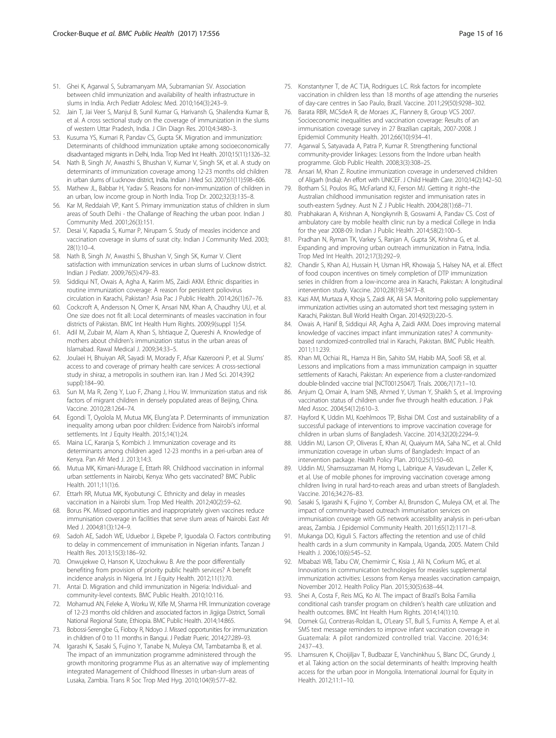- <span id="page-14-0"></span>51. Ghei K, Agarwal S, Subramanyam MA, Subramanian SV. Association between child immunization and availability of health infrastructure in slums in India. Arch Pediatr Adolesc Med. 2010;164(3):243–9.
- 52. Jain T, Jai Veer S, Manjul B, Sunil Kumar G, Harivansh G, Shailendra Kumar B, et al. A cross sectional study on the coverage of immunization in the slums of western Uttar Pradesh, India. J Clin Diagn Res. 2010;4:3480–3.
- 53. Kusuma YS, Kumari R, Pandav CS, Gupta SK. Migration and immunization: Determinants of childhood immunization uptake among socioeconomically disadvantaged migrants in Delhi, India. Trop Med Int Health. 2010;15(11):1326–32.
- 54. Nath B, Singh JV, Awasthi S, Bhushan V, Kumar V, Singh SK, et al. A study on determinants of immunization coverage among 12-23 months old children in urban slums of Lucknow district, India. Indian J Med Sci. 2007;61(11):598–606.
- 55. Mathew JL, Babbar H, Yadav S. Reasons for non-immunization of children in an urban, low income group in North India. Trop Dr. 2002;32(3):135–8.
- 56. Kar M, Reddaiah VP, Kant S. Primary immunization status of children in slum areas of South Delhi - the Challange of Reaching the urban poor. Indian J Community Med. 2001;26(3):151.
- 57. Desai V, Kapadia S, Kumar P, Nirupam S. Study of measles incidence and vaccination coverage in slums of surat city. Indian J Community Med. 2003; 28(1):10–4.
- 58. Nath B, Singh JV, Awasthi S, Bhushan V, Singh SK, Kumar V. Client satisfaction with immunization services in urban slums of Lucknow district. Indian J Pediatr. 2009;76(5):479–83.
- 59. Siddiqui NT, Owais A, Agha A, Karim MS, Zaidi AKM. Ethnic disparities in routine immunization coverage: A reason for persistent poliovirus circulation in Karachi, Pakistan? Asia Pac J Public Health. 2014;26(1):67–76.
- 60. Cockcroft A, Andersson N, Omer K, Ansari NM, Khan A, Chaudhry UU, et al. One size does not fit all: Local determinants of measles vaccination in four districts of Pakistan. BMC Int Health Hum Rights. 2009;9(suppl 1):S4.
- 61. Adil M, Zubair M, Alam A, Khan S, Ishtiaque Z, Quereshi A. Knowledge of mothers about children's immunization status in the urban areas of Islamabad. Rawal Medical J. 2009;34:33–5.
- 62. Joulaei H, Bhuiyan AR, Sayadi M, Morady F, Afsar Kazerooni P, et al. Slums' access to and coverage of primary health care services: A cross-sectional study in shiraz, a metropolis in southern iran. Iran J Med Sci. 2014;39(2 suppl):184–90.
- 63. Sun M, Ma R, Zeng Y, Luo F, Zhang J, Hou W. Immunization status and risk factors of migrant children in densely populated areas of Beijing, China. Vaccine. 2010;28:1264–74.
- 64. Egondi T, Oyolola M, Mutua MK, Elung'ata P. Determinants of immunization inequality among urban poor children: Evidence from Nairobi's informal settlements. Int J Equity Health. 2015;14(1):24.
- 65. Maina LC, Karanja S, Kombich J. Immunization coverage and its determinants among children aged 12-23 months in a peri-urban area of Kenya. Pan Afr Med J. 2013;14:3.
- 66. Mutua MK, Kimani-Murage E, Ettarh RR. Childhood vaccination in informal urban settlements in Nairobi, Kenya: Who gets vaccinated? BMC Public Health. 2011;11(1):6.
- 67. Ettarh RR, Mutua MK, Kyobutungi C. Ethnicity and delay in measles vaccination in a Nairobi slum. Trop Med Health. 2012;40(2):59–62.
- 68. Borus PK. Missed opportunities and inappropriately given vaccines reduce immunisation coverage in facilities that serve slum areas of Nairobi. East Afr Med J. 2004;81(3):124–9.
- 69. Sadoh AE, Sadoh WE, Uduebor J, Ekpebe P, Iguodala O. Factors contributing to delay in commencement of immunisation in Nigerian infants. Tanzan J Health Res. 2013;15(3):186–92.
- 70. Onwujekwe O, Hanson K, Uzochukwu B. Are the poor differentially benefiting from provision of priority public health services? A benefit incidence analysis in Nigeria. Int J Equity Health. 2012;11(1):70.
- 71. Antai D. Migration and child immunization in Nigeria: Individual- and community-level contexts. BMC Public Health. 2010;10:116.
- 72. Mohamud AN, Feleke A, Worku W, Kifle M, Sharma HR. Immunization coverage of 12-23 months old children and associated factors in Jigjiga District, Somali National Regional State, Ethiopia. BMC Public Health. 2014;14:865.
- 73. Bobossi-Serengbe G, Fioboy R, Ndoyo J. Missed opportunities for immunization in children of 0 to 11 months in Bangui. J Pediatr Pueric. 2014;27:289–93.
- Igarashi K, Sasaki S, Fujino Y, Tanabe N, Muleya CM, Tambatamba B, et al. The impact of an immunization programme administered through the growth monitoring programme Plus as an alternative way of implementing integrated Management of Childhood Illnesses in urban-slum areas of Lusaka, Zambia. Trans R Soc Trop Med Hyg. 2010;104(9):577–82.
- 75. Konstantyner T, de AC TJA, Rodrigues LC. Risk factors for incomplete vaccination in children less than 18 months of age attending the nurseries of day-care centres in Sao Paulo, Brazil. Vaccine. 2011;29(50):9298–302.
- 76. Barata RBR, MCSdeA R, de Moraes JC, Flannery B, Group VCS 2007. Socioeconomic inequalities and vaccination coverage: Results of an immunisation coverage survey in 27 Brazilian capitals, 2007-2008. J Epidemiol Community Health. 2012;66(10):934–41.
- 77. Agarwal S, Satyavada A, Patra P, Kumar R. Strengthening functional community-provider linkages: Lessons from the Indore urban health programme. Glob Public Health. 2008;3(3):308–25.
- 78. Ansari M, Khan Z. Routine immunization coverage in underserved children of Aligarh (India): An effort with UNICEF. J Child Health Care. 2010;14(2):142–50.
- 79. Botham SJ, Poulos RG, McFarland KJ, Ferson MJ. Getting it right–the Australian childhood immunisation register and immunisation rates in south-eastern Sydney. Aust N Z J Public Health. 2004;28(1):68–71.
- 80. Prabhakaran A, Krishnan A, Nongkynrih B, Goswami A, Pandav CS. Cost of ambulatory care by mobile health clinic run by a medical College in India for the year 2008-09. Indian J Public Health. 2014;58(2):100–5.
- 81. Pradhan N, Ryman TK, Varkey S, Ranjan A, Gupta SK, Krishna G, et al. Expanding and improving urban outreach immunization in Patna, India. Trop Med Int Health. 2012;17(3):292–9.
- Chandir S, Khan AJ, Hussain H, Usman HR, Khowaja S, Halsey NA, et al. Effect of food coupon incentives on timely completion of DTP immunization series in children from a low-income area in Karachi, Pakistan: A longitudinal intervention study. Vaccine. 2010;28(19):3473–8.
- 83. Kazi AM, Murtaza A, Khoja S, Zaidi AK, Ali SA. Monitoring polio supplementary immunization activities using an automated short text messaging system in Karachi, Pakistan. Bull World Health Organ. 2014;92(3):220–5.
- Owais A, Hanif B, Siddiqui AR, Agha A, Zaidi AKM. Does improving maternal knowledge of vaccines impact infant immunization rates? A communitybased randomized-controlled trial in Karachi, Pakistan. BMC Public Health. 2011;11:239.
- 85. Khan MI, Ochiai RL, Hamza H Bin, Sahito SM, Habib MA, Soofi SB, et al. Lessons and implications from a mass immunization campaign in squatter settlements of Karachi, Pakistan: An experience from a cluster-randomized double-blinded vaccine trial [NCT00125047]. Trials. 2006;7(17):1–10.
- 86. Anjum Q, Omair A, Inam SNB, Ahmed Y, Usman Y, Shaikh S, et al. Improving vaccination status of children under five through health education. J Pak Med Assoc. 2004;54(12):610–3.
- 87. Hayford K, Uddin MJ, Koehlmoos TP, Bishai DM. Cost and sustainability of a successful package of interventions to improve vaccination coverage for children in urban slums of Bangladesh. Vaccine. 2014;32(20):2294–9.
- 88. Uddin MJ, Larson CP, Oliveras E, Khan AI, Quaiyum MA, Saha NC, et al. Child immunization coverage in urban slums of Bangladesh: Impact of an intervention package. Health Policy Plan. 2010;25(1):50–60.
- 89. Uddin MJ, Shamsuzzaman M, Horng L, Labrique A, Vasudevan L, Zeller K, et al. Use of mobile phones for improving vaccination coverage among children living in rural hard-to-reach areas and urban streets of Bangladesh. Vaccine. 2016;34:276–83.
- 90. Sasaki S, Igarashi K, Fujino Y, Comber AJ, Brunsdon C, Muleya CM, et al. The impact of community-based outreach immunisation services on immunisation coverage with GIS network accessibility analysis in peri-urban areas, Zambia. J Epidemiol Community Health. 2011;65(12):1171–8.
- 91. Mukanga DO, Kiguli S. Factors affecting the retention and use of child health cards in a slum community in Kampala, Uganda, 2005. Matern Child Health J. 2006;10(6):545–52.
- 92. Mbabazi WB, Tabu CW, Chemirmir C, Kisia J, Ali N, Corkum MG, et al. Innovations in communication technologies for measles supplemental immunization activities: Lessons from Kenya measles vaccination campaign, November 2012. Health Policy Plan. 2015;30(5):638–44.
- 93. Shei A, Costa F, Reis MG, Ko AI. The impact of Brazil's Bolsa Familia conditional cash transfer program on children's health care utilization and health outcomes. BMC Int Health Hum Rights. 2014;14(1):10.
- 94. Domek GJ, Contreras-Roldan IL, O'Leary ST, Bull S, Furniss A, Kempe A, et al. SMS text message reminders to improve infant vaccination coverage in Guatemala: A pilot randomized controlled trial. Vaccine. 2016;34: 2437–43.
- 95. Lhamsuren K, Choijiljav T, Budbazar E, Vanchinkhuu S, Blanc DC, Grundy J, et al. Taking action on the social determinants of health: Improving health access for the urban poor in Mongolia. International Journal for Equity in Health. 2012;11:1–10.